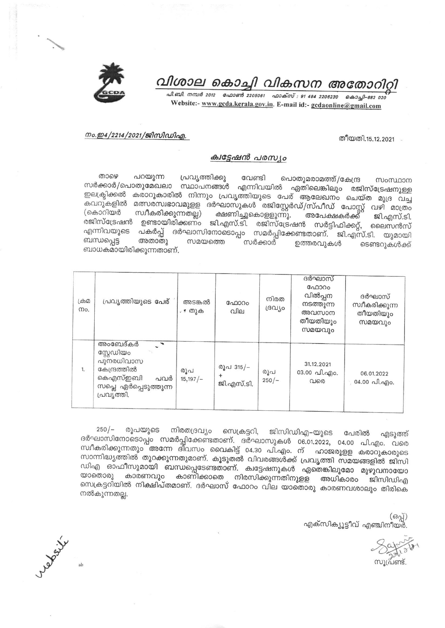

# വിശാല കൊച്ചി വികസന അതോറിറ്റി

പി.ബി. നമ്പർ 2012 - ഫോൺ 2205061 - ഫാക്സ് : 91 484 2206230 - കൊച്ചി-682 020 Website:- www.gcda.kerala.gov.in. E-mail id:- gcdaonline@gmail.com

## നം.ഇ4/2214/2021/ജിസിഡിഎ.

#### തീയതി.15.12.2021

## ക്വട്ടേഷൻ പരസ്യം

താഴെ പറയുന്ന പ്രവൃത്തിക്കു വേണ്ടി പൊതുമരാമത്ത്/കേന്ദ്ര സംസ്ഥാന സർക്കാർ/പൊതുമേഖലാ സ്ഥാപനങ്ങൾ എന്നിവയിൽ ഏതിലെങ്കിലും രജിസ്ട്രേഷനുള്ള .<br>ഇലക്ട്രിക്കൽ കരാറുകാരിൽ നിന്നും പ്രവൃത്തിയുടെ പേര് ആലേഖനം ചെയ്ത മുദ്ര വച്ച ഺ<br>കവറുകളിൽ മത്സരസ്വഭാവമുളള ദർഘാസുകൾ രജിസ്റ്റേർഡ്/സ്പീഡ് പോസ്റ്റ് വഴി മാത്രം സ്വീകരിക്കുന്നതല്ല) (കൊറിയർ ക്ഷണിച്ചുകൊളളുന്നു. അപേക്ഷകർക്ക് ജി.എസ്.ടി. രജിസ്ട്രേഷൻ ഉണ്ടായിരിക്കണ്ം ജി.എസ്.ടി. രജിസ്ട്രേഷൻ സർട്ടിഫിക്കറ്റ്, ലൈസൻസ് എന്നിവയുടെ പകർപ്പ് ദർഘാസിനോടൊപ്പം സമർപ്പിക്കേണ്ടതാണ്. ജി.എസ്.ടി. യുമായി ബന്ധപ്പെട്ട അതാതു സമയത്തെ സർക്കാർ ഉത്തരവുകൾ ടെണ്ടറുകൾക്ക് ബാധകമായിരിക്കുന്നതാണ്.

| ക്രമ<br>mo. | പ്രവൃത്തിയുടെ പേര്                                                                                             | അടങ്കൽ<br>. * തുക | ഫോറം<br>വില                          | നിരത<br>ദ്രവീ൦ | ദർഘാസ്<br>ഫോറം<br>വിൽപ്പന<br>നടത്തുന്ന<br>അവസാന<br>തീയതിയും<br>സമയവും | ദർഘാസ്<br>സ്വീകരിക്കുന്ന<br>തീയതിയും<br>സമയവും |
|-------------|----------------------------------------------------------------------------------------------------------------|-------------------|--------------------------------------|----------------|-----------------------------------------------------------------------|------------------------------------------------|
| 1.          | അംബേദ്കർ<br>സ്റ്റേഡിയം<br>പുനരധിവാസ<br>കേന്ദ്രത്തിൽ<br>കെഎസ്ഇബി<br>പവർ<br>സപ്ലെ ഏർപ്പെടുത്തുന്ന<br>പ്രവ്യത്തി. | രൂപ<br>15,197/–   | രൂപ 315/-<br>$\ddot{}$<br>ജി.എസ്.ടി. | രൂപ<br>$250/-$ | 31.12.2021<br>03.00 வி.வு)o.<br>വരെ                                   | 06.01.2022<br>്, 04.00 പി.എo.                  |

 $250/-$ രൂപയുടെ നിരതദ്രവ്യം സെക്രട്ടറി, ജിസിഡിഎ–യുടെ പേരിൽ എടുത്ത് ദർഘാസിനോടൊപ്പം സമർപ്പിക്കേണ്ടതാണ്. ദർഘാസുകൾ 06.01.2022, 04.00 പി.എം. വരെ സ്ഥീകരിക്കുന്നതും അന്നേ ദിവസം വൈകിട്ട് 04.30 പി.എം. ന് ഹാജരുളള കരാറുകാരുടെ സാന്നിദ്ധ്യത്തിൽ തുറക്കുന്നതുമാണ്. കൂടുതൽ വിവരങ്ങൾക്ക് പ്രവൃത്തി സമയങ്ങളിൽ ജിസി ഡിഎ ഓഫീസുമായി ബന്ധപ്പെടേണ്ടതാണ്. ക്വട്ടേഷനുകൾ ഏതെങ്കിലുമോ മുഴുവനായോ യാതൊരു കാരണവും കാണിക്കാതെ നിരസിക്കുന്നതിനുളള അധികാരം ജിസിഡിഎ സെക്രട്ടറിയിൽ നിക്ഷിപ്തമാണ്. ദർഘാസ് ഫോറം വില യാതൊരു കാരണവശാലും തിരികെ നൽകുന്നതല്ല.

(ഒപ്പ്) എക്സിക്യൂട്ടീവ് എഞ്ചിനീയർ.

വുപ്രണ്ട്